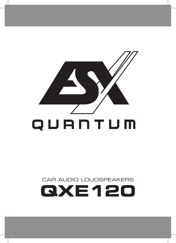

# CAR AUDIO LOUDSPEAKERS **QXE120**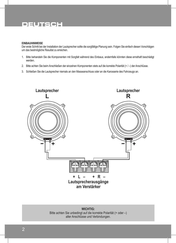### **DEUTSCH**

#### **EINBAUHINWEISE**

Der erste Schritt bei der Installation der Lautsprecher sollte die sorgfältige Planung sein. Folgen Sie einfach diesen Vorschlägen um das bestmögliche Resultat zu erreichen.

- 1. Bitte behandeln Sie die Komponenten mit Sorgfalt während des Einbaus, andernfalls könnten diese ernsthaft beschädigt werden.
- 2. Bitte achten Sie beim Anschließen der einzelnen Komponenten stets auf die korrekte Polarität (+ / –) der Anschlüsse.
- 3. Schließen Sie die Lautsprecher niemals an den Masseanschluss oder an die Karosserie des Fahrzeugs an.



**WICHTIG:** Bitte achten Sie unbedingt auf die korrekte Polarität (+ oder –) aller Anschlüsse und Verbindungen.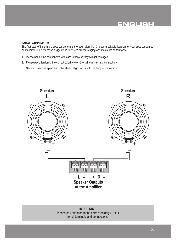## **ENGLISH**

#### **INSTALLATION NOTES**

The first step of installing a speaker system is thorough planning. Choose a suitable location for your speaker components carefully. Follow these suggestions to ensure proper imaging and maximum performance:

- 1. Please handle the components with care, otherwise they will get damaged.
- 2. Please pay attention to the correct polarity (+ or -) for all terminals and connections.
- 3. Never connect the speakers to the electrical ground or with the body of the vehicle.



**IMPORTANT:** Please pay attention to the correct polarity (+ or -) for all terminals and connections.